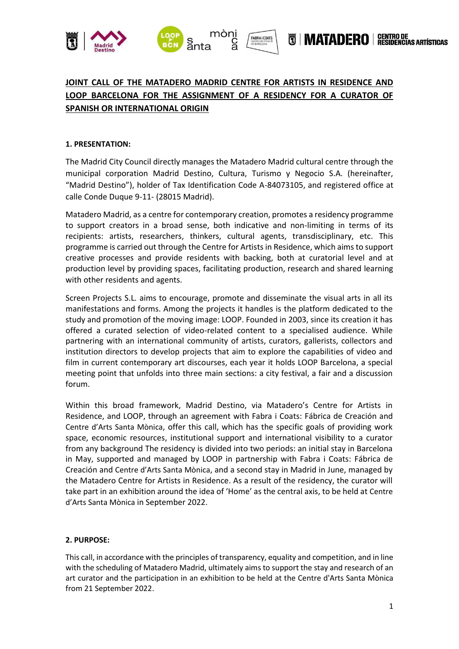



# **JOINT CALL OF THE MATADERO MADRID CENTRE FOR ARTISTS IN RESIDENCE AND LOOP BARCELONA FOR THE ASSIGNMENT OF A RESIDENCY FOR A CURATOR OF SPANISH OR INTERNATIONAL ORIGIN**

FABRA I COATS

# **1. PRESENTATION:**

The Madrid City Council directly manages the Matadero Madrid cultural centre through the municipal corporation Madrid Destino, Cultura, Turismo y Negocio S.A. (hereinafter, "Madrid Destino"), holder of Tax Identification Code A-84073105, and registered office at calle Conde Duque 9-11- (28015 Madrid).

Matadero Madrid, as a centre for contemporary creation, promotes a residency programme to support creators in a broad sense, both indicative and non-limiting in terms of its recipients: artists, researchers, thinkers, cultural agents, transdisciplinary, etc. This programme is carried out through the Centre for Artists in Residence, which aims to support creative processes and provide residents with backing, both at curatorial level and at production level by providing spaces, facilitating production, research and shared learning with other residents and agents.

Screen Projects S.L. aims to encourage, promote and disseminate the visual arts in all its manifestations and forms. Among the projects it handles is the platform dedicated to the study and promotion of the moving image: LOOP. Founded in 2003, since its creation it has offered a curated selection of video-related content to a specialised audience. While partnering with an international community of artists, curators, gallerists, collectors and institution directors to develop projects that aim to explore the capabilities of video and film in current contemporary art discourses, each year it holds LOOP Barcelona, a special meeting point that unfolds into three main sections: a city festival, a fair and a discussion forum.

Within this broad framework, Madrid Destino, via Matadero's Centre for Artists in Residence, and LOOP, through an agreement with Fabra i Coats: Fábrica de Creación and Centre d'Arts Santa Mònica, offer this call, which has the specific goals of providing work space, economic resources, institutional support and international visibility to a curator from any background The residency is divided into two periods: an initial stay in Barcelona in May, supported and managed by LOOP in partnership with Fabra i Coats: Fábrica de Creación and Centre d'Arts Santa Mònica, and a second stay in Madrid in June, managed by the Matadero Centre for Artists in Residence. As a result of the residency, the curator will take part in an exhibition around the idea of 'Home' as the central axis, to be held at Centre d'Arts Santa Mònica in September 2022.

## **2. PURPOSE:**

This call, in accordance with the principles of transparency, equality and competition, and in line with the scheduling of Matadero Madrid, ultimately aims to support the stay and research of an art curator and the participation in an exhibition to be held at the Centre d'Arts Santa Mònica from 21 September 2022.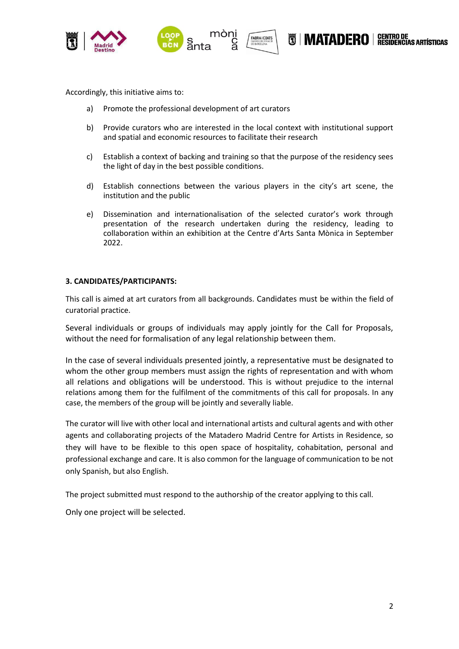



CENTRO DE<br>RESIDENCIAS ARTÍSTICAS N MATADERO |

Accordingly, this initiative aims to:

- a) Promote the professional development of art curators
- b) Provide curators who are interested in the local context with institutional support and spatial and economic resources to facilitate their research
- c) Establish a context of backing and training so that the purpose of the residency sees the light of day in the best possible conditions.
- d) Establish connections between the various players in the city's art scene, the institution and the public
- e) Dissemination and internationalisation of the selected curator's work through presentation of the research undertaken during the residency, leading to collaboration within an exhibition at the Centre d'Arts Santa Mònica in September 2022.

## **3. CANDIDATES/PARTICIPANTS:**

This call is aimed at art curators from all backgrounds. Candidates must be within the field of curatorial practice.

Several individuals or groups of individuals may apply jointly for the Call for Proposals, without the need for formalisation of any legal relationship between them.

In the case of several individuals presented jointly, a representative must be designated to whom the other group members must assign the rights of representation and with whom all relations and obligations will be understood. This is without prejudice to the internal relations among them for the fulfilment of the commitments of this call for proposals. In any case, the members of the group will be jointly and severally liable.

The curator will live with other local and international artists and cultural agents and with other agents and collaborating projects of the Matadero Madrid Centre for Artists in Residence, so they will have to be flexible to this open space of hospitality, cohabitation, personal and professional exchange and care. It is also common for the language of communication to be not only Spanish, but also English.

The project submitted must respond to the authorship of the creator applying to this call.

Only one project will be selected.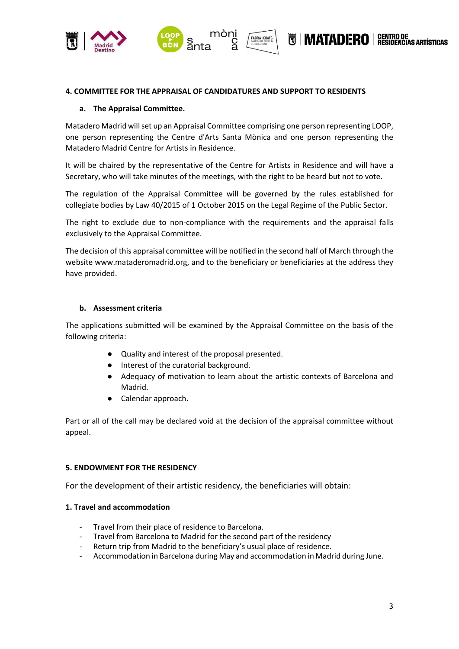



#### **4. COMMITTEE FOR THE APPRAISAL OF CANDIDATURES AND SUPPORT TO RESIDENTS**

#### **a. The Appraisal Committee.**

Matadero Madrid will set up an Appraisal Committee comprising one person representing LOOP, one person representing the Centre d'Arts Santa Mònica and one person representing the Matadero Madrid Centre for Artists in Residence.

It will be chaired by the representative of the Centre for Artists in Residence and will have a Secretary, who will take minutes of the meetings, with the right to be heard but not to vote.

The regulation of the Appraisal Committee will be governed by the rules established for collegiate bodies by Law 40/2015 of 1 October 2015 on the Legal Regime of the Public Sector.

The right to exclude due to non-compliance with the requirements and the appraisal falls exclusively to the Appraisal Committee.

The decision of this appraisal committee will be notified in the second half of March through the website www.mataderomadrid.org, and to the beneficiary or beneficiaries at the address they have provided.

#### **b. Assessment criteria**

The applications submitted will be examined by the Appraisal Committee on the basis of the following criteria:

- Quality and interest of the proposal presented.
- Interest of the curatorial background.
- Adequacy of motivation to learn about the artistic contexts of Barcelona and Madrid.
- Calendar approach.

Part or all of the call may be declared void at the decision of the appraisal committee without appeal.

## **5. ENDOWMENT FOR THE RESIDENCY**

For the development of their artistic residency, the beneficiaries will obtain:

## **1. Travel and accommodation**

- Travel from their place of residence to Barcelona.
- Travel from Barcelona to Madrid for the second part of the residency
- Return trip from Madrid to the beneficiary's usual place of residence.
- Accommodation in Barcelona during May and accommodation in Madrid during June.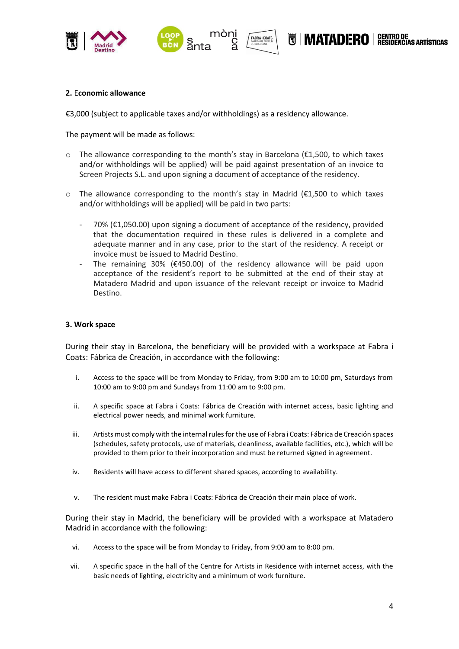





#### **2.** E**conomic allowance**

€3,000 (subject to applicable taxes and/or withholdings) as a residency allowance.

The payment will be made as follows:

 $\circ$  The allowance corresponding to the month's stay in Barcelona ( $\epsilon$ 1,500, to which taxes and/or withholdings will be applied) will be paid against presentation of an invoice to Screen Projects S.L. and upon signing a document of acceptance of the residency.

**FABRA I COATS** 

- $\circ$  The allowance corresponding to the month's stay in Madrid (€1,500 to which taxes and/or withholdings will be applied) will be paid in two parts:
	- $70\%$  ( $\epsilon$ 1,050.00) upon signing a document of acceptance of the residency, provided that the documentation required in these rules is delivered in a complete and adequate manner and in any case, prior to the start of the residency. A receipt or invoice must be issued to Madrid Destino.
	- The remaining 30% ( $\epsilon$ 450.00) of the residency allowance will be paid upon acceptance of the resident's report to be submitted at the end of their stay at Matadero Madrid and upon issuance of the relevant receipt or invoice to Madrid Destino.

#### **3. Work space**

During their stay in Barcelona, the beneficiary will be provided with a workspace at Fabra i Coats: Fábrica de Creación, in accordance with the following:

- i. Access to the space will be from Monday to Friday, from 9:00 am to 10:00 pm, Saturdays from 10:00 am to 9:00 pm and Sundays from 11:00 am to 9:00 pm.
- ii. A specific space at Fabra i Coats: Fábrica de Creación with internet access, basic lighting and electrical power needs, and minimal work furniture.
- iii. Artists must comply with the internal rules for the use of Fabra i Coats: Fábrica de Creación spaces (schedules, safety protocols, use of materials, cleanliness, available facilities, etc.), which will be provided to them prior to their incorporation and must be returned signed in agreement.
- iv. Residents will have access to different shared spaces, according to availability.
- v. The resident must make Fabra i Coats: Fábrica de Creación their main place of work.

During their stay in Madrid, the beneficiary will be provided with a workspace at Matadero Madrid in accordance with the following:

- vi. Access to the space will be from Monday to Friday, from 9:00 am to 8:00 pm.
- vii. A specific space in the hall of the Centre for Artists in Residence with internet access, with the basic needs of lighting, electricity and a minimum of work furniture.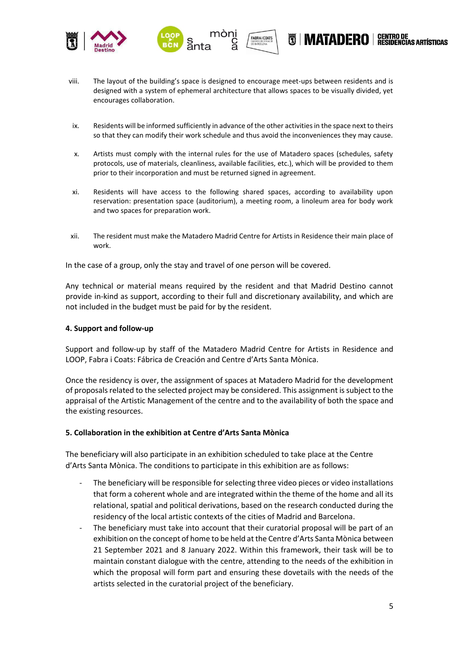



**FABRA I COATS** 

ĦHMATADFR∩

ŠIDENČĪAS ARTÍSTICAS

- ix. Residents will be informed sufficiently in advance of the other activities in the space next to theirs so that they can modify their work schedule and thus avoid the inconveniences they may cause.
- x. Artists must comply with the internal rules for the use of Matadero spaces (schedules, safety protocols, use of materials, cleanliness, available facilities, etc.), which will be provided to them prior to their incorporation and must be returned signed in agreement.
- xi. Residents will have access to the following shared spaces, according to availability upon reservation: presentation space (auditorium), a meeting room, a linoleum area for body work and two spaces for preparation work.
- xii. The resident must make the Matadero Madrid Centre for Artists in Residence their main place of work.

In the case of a group, only the stay and travel of one person will be covered.

Any technical or material means required by the resident and that Madrid Destino cannot provide in-kind as support, according to their full and discretionary availability, and which are not included in the budget must be paid for by the resident.

#### **4. Support and follow-up**

Support and follow-up by staff of the Matadero Madrid Centre for Artists in Residence and LOOP, Fabra i Coats: Fábrica de Creación and Centre d'Arts Santa Mònica.

Once the residency is over, the assignment of spaces at Matadero Madrid for the development of proposals related to the selected project may be considered. This assignment is subject to the appraisal of the Artistic Management of the centre and to the availability of both the space and the existing resources.

## **5. Collaboration in the exhibition at Centre d'Arts Santa Mònica**

The beneficiary will also participate in an exhibition scheduled to take place at the Centre d'Arts Santa Mònica. The conditions to participate in this exhibition are as follows:

- The beneficiary will be responsible for selecting three video pieces or video installations that form a coherent whole and are integrated within the theme of the home and all its relational, spatial and political derivations, based on the research conducted during the residency of the local artistic contexts of the cities of Madrid and Barcelona.
- The beneficiary must take into account that their curatorial proposal will be part of an exhibition on the concept of home to be held at the Centre d'Arts Santa Mònica between 21 September 2021 and 8 January 2022. Within this framework, their task will be to maintain constant dialogue with the centre, attending to the needs of the exhibition in which the proposal will form part and ensuring these dovetails with the needs of the artists selected in the curatorial project of the beneficiary.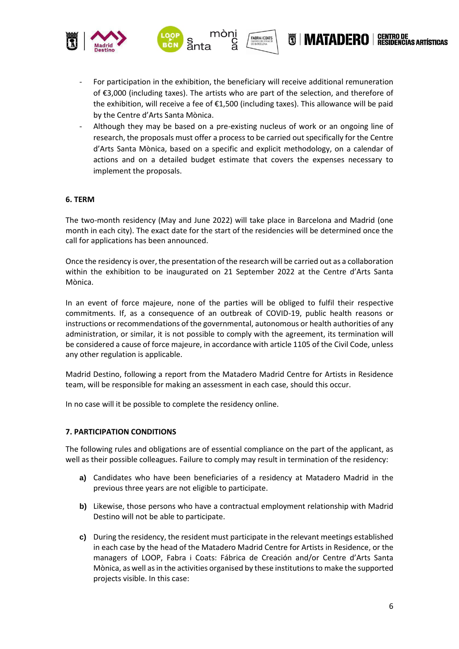



**FABRA I COATS** 

- Although they may be based on a pre-existing nucleus of work or an ongoing line of research, the proposals must offer a process to be carried out specifically for the Centre d'Arts Santa Mònica, based on a specific and explicit methodology, on a calendar of actions and on a detailed budget estimate that covers the expenses necessary to implement the proposals.

## **6. TERM**

The two-month residency (May and June 2022) will take place in Barcelona and Madrid (one month in each city). The exact date for the start of the residencies will be determined once the call for applications has been announced.

Once the residency is over, the presentation of the research will be carried out as a collaboration within the exhibition to be inaugurated on 21 September 2022 at the Centre d'Arts Santa Mònica.

In an event of force majeure, none of the parties will be obliged to fulfil their respective commitments. If, as a consequence of an outbreak of COVID-19, public health reasons or instructions or recommendations of the governmental, autonomous or health authorities of any administration, or similar, it is not possible to comply with the agreement, its termination will be considered a cause of force majeure, in accordance with article 1105 of the Civil Code, unless any other regulation is applicable.

Madrid Destino, following a report from the Matadero Madrid Centre for Artists in Residence team, will be responsible for making an assessment in each case, should this occur.

In no case will it be possible to complete the residency online.

#### **7. PARTICIPATION CONDITIONS**

The following rules and obligations are of essential compliance on the part of the applicant, as well as their possible colleagues. Failure to comply may result in termination of the residency:

- **a)** Candidates who have been beneficiaries of a residency at Matadero Madrid in the previous three years are not eligible to participate.
- **b)** Likewise, those persons who have a contractual employment relationship with Madrid Destino will not be able to participate.
- **c)** During the residency, the resident must participate in the relevant meetings established in each case by the head of the Matadero Madrid Centre for Artists in Residence, or the managers of LOOP, Fabra i Coats: Fábrica de Creación and/or Centre d'Arts Santa Mònica, as well as in the activities organised by these institutions to make the supported projects visible. In this case:

**CENTRO DE<br>RESIDENCIAS ARTÍSTICAS** 

N IMATADERO I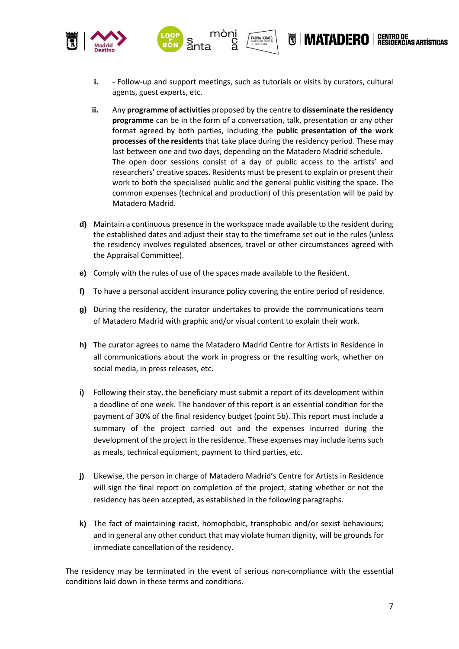

**i.** - Follow-up and support meetings, such as tutorials or visits by curators, cultural agents, guest experts, etc.

**FABRA I COATS** 

- **ii.** Any **programme of activities** proposed by the centre to **disseminate the residency programme** can be in the form of a conversation, talk, presentation or any other format agreed by both parties, including the **public presentation of the work processes of the residents** that take place during the residency period. These may last between one and two days, depending on the Matadero Madrid schedule. The open door sessions consist of a day of public access to the artists' and researchers' creative spaces. Residents must be present to explain or present their work to both the specialised public and the general public visiting the space. The common expenses (technical and production) of this presentation will be paid by Matadero Madrid.
- **d)** Maintain a continuous presence in the workspace made available to the resident during the established dates and adjust their stay to the timeframe set out in the rules (unless the residency involves regulated absences, travel or other circumstances agreed with the Appraisal Committee).
- **e)** Comply with the rules of use of the spaces made available to the Resident.
- **f)** To have a personal accident insurance policy covering the entire period of residence.
- **g)** During the residency, the curator undertakes to provide the communications team of Matadero Madrid with graphic and/or visual content to explain their work.
- **h)** The curator agrees to name the Matadero Madrid Centre for Artists in Residence in all communications about the work in progress or the resulting work, whether on social media, in press releases, etc.
- **i)** Following their stay, the beneficiary must submit a report of its development within a deadline of one week. The handover of this report is an essential condition for the payment of 30% of the final residency budget (point 5b). This report must include a summary of the project carried out and the expenses incurred during the development of the project in the residence. These expenses may include items such as meals, technical equipment, payment to third parties, etc.
- **j)** Likewise, the person in charge of Matadero Madrid's Centre for Artists in Residence will sign the final report on completion of the project, stating whether or not the residency has been accepted, as established in the following paragraphs.
- **k)** The fact of maintaining racist, homophobic, transphobic and/or sexist behaviours; and in general any other conduct that may violate human dignity, will be grounds for immediate cancellation of the residency.

The residency may be terminated in the event of serious non-compliance with the essential conditions laid down in these terms and conditions.

**CENTRO DE<br>RESIDENCIAS ARTÍSTICAS** 

**NAATADEROI**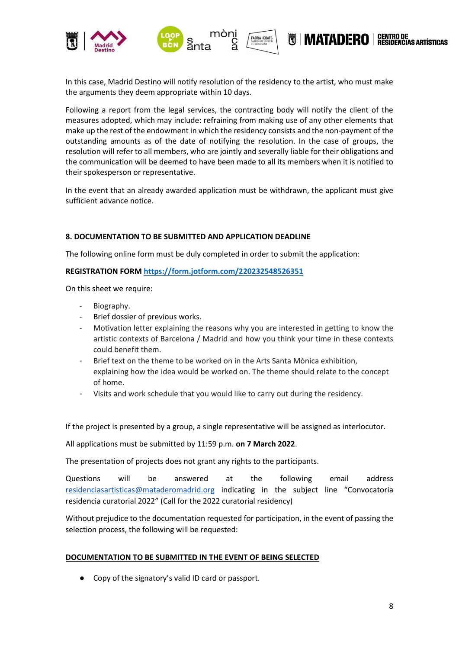

In this case, Madrid Destino will notify resolution of the residency to the artist, who must make the arguments they deem appropriate within 10 days.

**FABRA I COATS** 

Following a report from the legal services, the contracting body will notify the client of the measures adopted, which may include: refraining from making use of any other elements that make up the rest of the endowment in which the residency consists and the non-payment of the outstanding amounts as of the date of notifying the resolution. In the case of groups, the resolution will refer to all members, who are jointly and severally liable for their obligations and the communication will be deemed to have been made to all its members when it is notified to their spokesperson or representative.

In the event that an already awarded application must be withdrawn, the applicant must give sufficient advance notice.

# **8. DOCUMENTATION TO BE SUBMITTED AND APPLICATION DEADLINE**

The following online form must be duly completed in order to submit the application:

## **REGISTRATION FOR[M https://form.jotform.com/220232548526351](https://form.jotform.com/220232548526351)**

On this sheet we require:

- Biography.
- Brief dossier of previous works.
- Motivation letter explaining the reasons why you are interested in getting to know the artistic contexts of Barcelona / Madrid and how you think your time in these contexts could benefit them.
- Brief text on the theme to be worked on in the Arts Santa Mònica exhibition, explaining how the idea would be worked on. The theme should relate to the concept of home.
- Visits and work schedule that you would like to carry out during the residency.

If the project is presented by a group, a single representative will be assigned as interlocutor.

All applications must be submitted by 11:59 p.m. **on 7 March 2022**.

The presentation of projects does not grant any rights to the participants.

Questions will be answered at the following email address [residenciasartisticas@mataderomadrid.org](mailto:residenciasartisticas@mataderomadrid.org) indicating in the subject line "Convocatoria residencia curatorial 2022" (Call for the 2022 curatorial residency)

Without prejudice to the documentation requested for participation, in the event of passing the selection process, the following will be requested:

## **DOCUMENTATION TO BE SUBMITTED IN THE EVENT OF BEING SELECTED**

● Copy of the signatory's valid ID card or passport.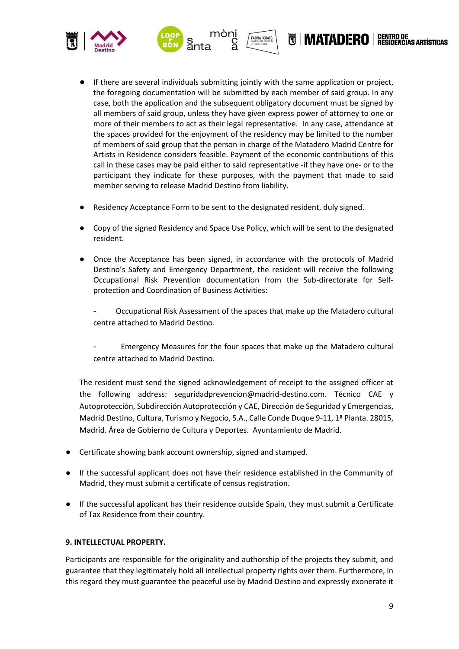

If there are several individuals submitting jointly with the same application or project, the foregoing documentation will be submitted by each member of said group. In any case, both the application and the subsequent obligatory document must be signed by all members of said group, unless they have given express power of attorney to one or more of their members to act as their legal representative. In any case, attendance at the spaces provided for the enjoyment of the residency may be limited to the number of members of said group that the person in charge of the Matadero Madrid Centre for Artists in Residence considers feasible. Payment of the economic contributions of this call in these cases may be paid either to said representative -if they have one- or to the participant they indicate for these purposes, with the payment that made to said member serving to release Madrid Destino from liability.

**FABRA I COATS** 

- Residency Acceptance Form to be sent to the designated resident, duly signed.
- Copy of the signed Residency and Space Use Policy, which will be sent to the designated resident.
- Once the Acceptance has been signed, in accordance with the protocols of Madrid Destino's Safety and Emergency Department, the resident will receive the following Occupational Risk Prevention documentation from the Sub-directorate for Selfprotection and Coordination of Business Activities:

- Occupational Risk Assessment of the spaces that make up the Matadero cultural centre attached to Madrid Destino.

- Emergency Measures for the four spaces that make up the Matadero cultural centre attached to Madrid Destino.

The resident must send the signed acknowledgement of receipt to the assigned officer at the following address: seguridadprevencion@madrid-destino.com. Técnico CAE y Autoprotección, Subdirección Autoprotección y CAE, Dirección de Seguridad y Emergencias, Madrid Destino, Cultura, Turismo y Negocio, S.A., Calle Conde Duque 9-11, 1ª Planta. 28015, Madrid. Área de Gobierno de Cultura y Deportes. Ayuntamiento de Madrid.

- Certificate showing bank account ownership, signed and stamped.
- If the successful applicant does not have their residence established in the Community of Madrid, they must submit a certificate of census registration.
- If the successful applicant has their residence outside Spain, they must submit a Certificate of Tax Residence from their country.

## **9. INTELLECTUAL PROPERTY.**

Participants are responsible for the originality and authorship of the projects they submit, and guarantee that they legitimately hold all intellectual property rights over them. Furthermore, in this regard they must guarantee the peaceful use by Madrid Destino and expressly exonerate it

**CENTRO DE<br>RESIDENCIAS ARTÍSTICAS** 

N MATADERO |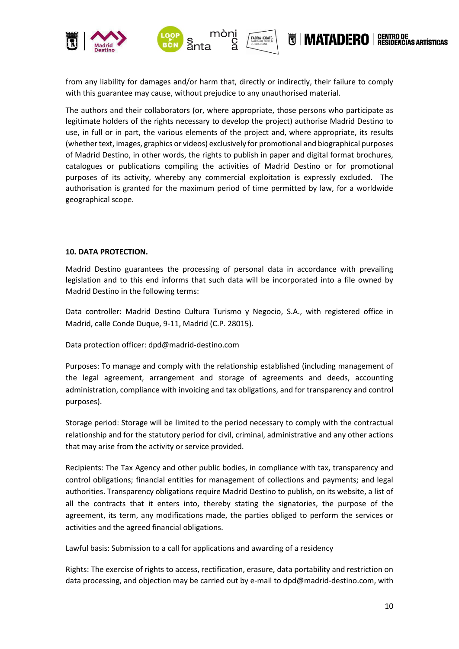

from any liability for damages and/or harm that, directly or indirectly, their failure to comply with this guarantee may cause, without prejudice to any unauthorised material.

The authors and their collaborators (or, where appropriate, those persons who participate as legitimate holders of the rights necessary to develop the project) authorise Madrid Destino to use, in full or in part, the various elements of the project and, where appropriate, its results (whether text, images, graphics or videos) exclusively for promotional and biographical purposes of Madrid Destino, in other words, the rights to publish in paper and digital format brochures, catalogues or publications compiling the activities of Madrid Destino or for promotional purposes of its activity, whereby any commercial exploitation is expressly excluded. The authorisation is granted for the maximum period of time permitted by law, for a worldwide geographical scope.

## **10. DATA PROTECTION.**

Madrid Destino guarantees the processing of personal data in accordance with prevailing legislation and to this end informs that such data will be incorporated into a file owned by Madrid Destino in the following terms:

Data controller: Madrid Destino Cultura Turismo y Negocio, S.A., with registered office in Madrid, calle Conde Duque, 9-11, Madrid (C.P. 28015).

Data protection officer: dpd@madrid-destino.com

Purposes: To manage and comply with the relationship established (including management of the legal agreement, arrangement and storage of agreements and deeds, accounting administration, compliance with invoicing and tax obligations, and for transparency and control purposes).

Storage period: Storage will be limited to the period necessary to comply with the contractual relationship and for the statutory period for civil, criminal, administrative and any other actions that may arise from the activity or service provided.

Recipients: The Tax Agency and other public bodies, in compliance with tax, transparency and control obligations; financial entities for management of collections and payments; and legal authorities. Transparency obligations require Madrid Destino to publish, on its website, a list of all the contracts that it enters into, thereby stating the signatories, the purpose of the agreement, its term, any modifications made, the parties obliged to perform the services or activities and the agreed financial obligations.

Lawful basis: Submission to a call for applications and awarding of a residency

Rights: The exercise of rights to access, rectification, erasure, data portability and restriction on data processing, and objection may be carried out by e-mail to dpd@madrid-destino.com, with